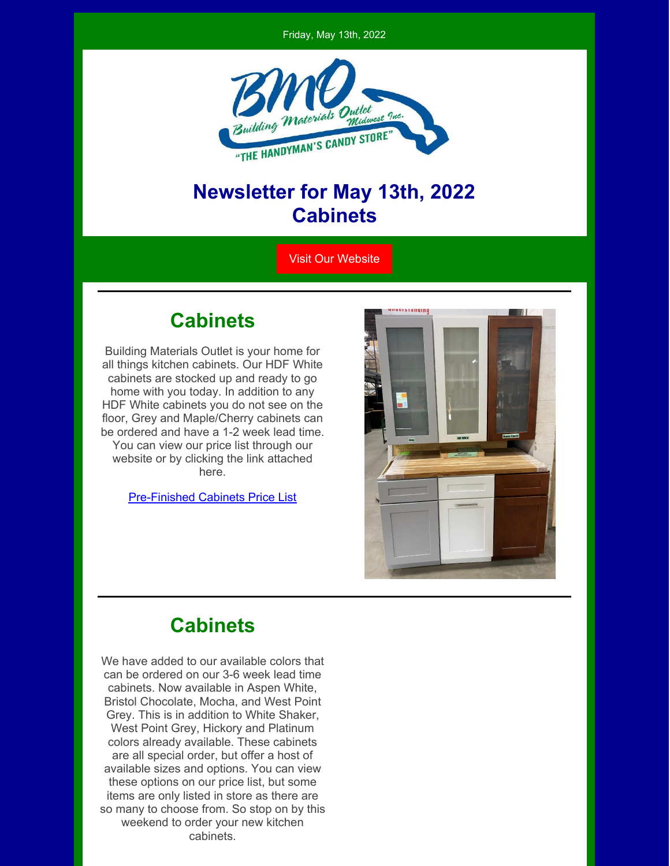Friday, May 13th, 2022



### **Newsletter for May 13th, 2022 Cabinets**

Visit Our [Website](https://bmomn.com/)

#### **Cabinets**

Building Materials Outlet is your home for all things kitchen cabinets. Our HDF White cabinets are stocked up and ready to go home with you today. In addition to any HDF White cabinets you do not see on the floor, Grey and Maple/Cherry cabinets can be ordered and have a 1-2 week lead time. You can view our price list through our website or by clicking the link attached here.

[Pre-Finished](https://bmomn.com/wp-content/uploads/2022/05/05112022-NEW-2021-Pre-Finished-Cabinet-Price-List-Website.pdf) Cabinets Price List



## **Cabinets**

We have added to our available colors that can be ordered on our 3-6 week lead time cabinets. Now available in Aspen White, Bristol Chocolate, Mocha, and West Point Grey. This is in addition to White Shaker, West Point Grey, Hickory and Platinum colors already available. These cabinets are all special order, but offer a host of available sizes and options. You can view these options on our price list, but some items are only listed in store as there are so many to choose from. So stop on by this weekend to order your new kitchen cabinets.